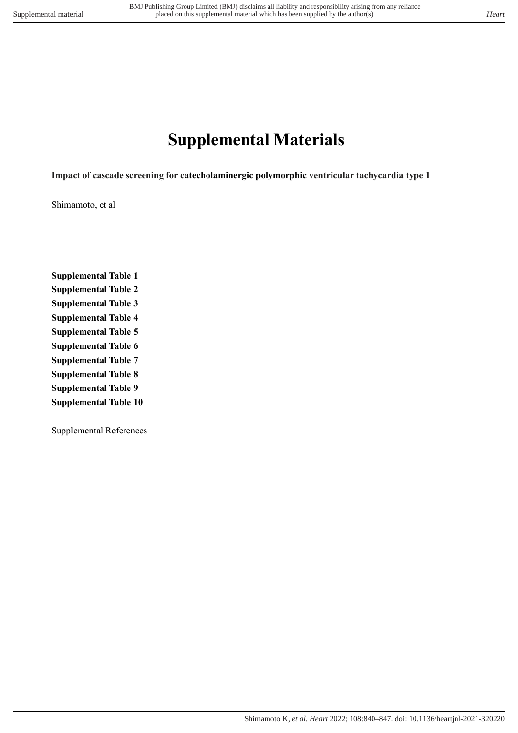# **Supplemental Materials**

**Impact of cascade screening for catecholaminergic polymorphic ventricular tachycardia type 1**

Shimamoto, et al

**Supplemental Table 1 Supplemental Table 2 Supplemental Table 3 Supplemental Table 4 Supplemental Table 5 Supplemental Table 6 Supplemental Table 7 Supplemental Table 8 Supplemental Table 9 Supplemental Table 10**

Supplemental References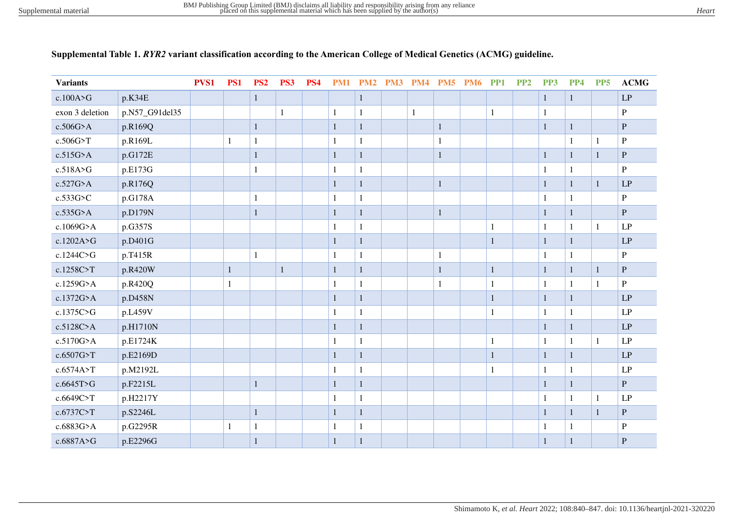| <b>Variants</b> |                | PVS1 | <b>PS1</b>   | PS <sub>2</sub> | PS3          | <b>PS4</b> |              | <b>PM1 PM2 PM3 PM4</b> |              |              | <b>PM5 PM6 PP1</b> |              | PP <sub>2</sub> | PP <sub>3</sub> | PP4          | PP <sub>5</sub> | <b>ACMG</b>            |
|-----------------|----------------|------|--------------|-----------------|--------------|------------|--------------|------------------------|--------------|--------------|--------------------|--------------|-----------------|-----------------|--------------|-----------------|------------------------|
| c.100A>G        | p.K34E         |      |              | $\mathbf{1}$    |              |            |              | $\mathbf{1}$           |              |              |                    |              |                 | $\mathbf{1}$    | $\mathbf{1}$ |                 | $\mathbf{L}\mathbf{P}$ |
| exon 3 deletion | p.N57_G91del35 |      |              |                 | 1            |            | 1            | $\mathbf{1}$           | $\mathbf{1}$ |              |                    | $\mathbf{1}$ |                 | $\mathbf{1}$    |              |                 | $\, {\bf P}$           |
| $c.506G$ >A     | p.R169Q        |      |              | $\mathbf{1}$    |              |            | $\mathbf{1}$ | $\mathbf{1}$           |              | $\mathbf{1}$ |                    |              |                 | $\mathbf 1$     | $\mathbf{1}$ |                 | $\, {\bf P}$           |
| c.506G>T        | p.R169L        |      | $\mathbf{1}$ | $\mathbf{1}$    |              |            | $\mathbf{1}$ | $\mathbf{1}$           |              | $\mathbf{1}$ |                    |              |                 |                 | $\mathbf{1}$ | 1               | $\mathbf P$            |
| $c.515G$ >A     | p.G172E        |      |              | $\mathbf{1}$    |              |            | $\mathbf{1}$ | $\mathbf{1}$           |              | $\mathbf 1$  |                    |              |                 | $\,1$           | $1\,$        | $\mathbf{1}$    | ${\bf P}$              |
| c.518A>G        | p.E173G        |      |              | $\mathbf{1}$    |              |            | $\mathbf{1}$ | 1                      |              |              |                    |              |                 | $\mathbf{1}$    | $\mathbf{1}$ |                 | P                      |
| c.527G>A        | p.R176Q        |      |              |                 |              |            | $\mathbf{1}$ | 1                      |              | 1            |                    |              |                 | $\mathbf 1$     | $\mathbf{1}$ | $\mathbf{1}$    | $\mathbf{L}\mathbf{P}$ |
| c.533G>C        | p.G178A        |      |              | $\mathbf{1}$    |              |            | $\mathbf{1}$ | 1                      |              |              |                    |              |                 | 1               | $\mathbf{1}$ |                 | $\, {\bf P}$           |
| $c.535G$ >A     | p.D179N        |      |              | $\mathbf{1}$    |              |            | $\mathbf{1}$ | $\mathbf{1}$           |              | 1            |                    |              |                 | $\mathbf{1}$    | $\mathbf{1}$ |                 | ${\bf P}$              |
| c.1069G>A       | p.G357S        |      |              |                 |              |            | $\mathbf{1}$ | $\mathbf{1}$           |              |              |                    | $\mathbf{1}$ |                 | $\mathbf{1}$    | $\mathbf{1}$ | $\mathbf{1}$    | $\mathbf{L}\mathbf{P}$ |
| c.1202A>G       | p.D401G        |      |              |                 |              |            | $\mathbf{1}$ | $\mathbf{1}$           |              |              |                    | $\mathbf{1}$ |                 | $\mathbf 1$     | $\mathbf{1}$ |                 | $\mathbf{L}\mathbf{P}$ |
| c.1244C>G       | p.T415R        |      |              | $\mathbf{1}$    |              |            | $\mathbf{1}$ | $\mathbf{1}$           |              | $\mathbf{1}$ |                    |              |                 | 1               | $\mathbf{1}$ |                 | $\, {\bf P}$           |
| c.1258C>T       | p.R420W        |      | $\mathbf{1}$ |                 | $\mathbf{1}$ |            | $\mathbf{1}$ | $\mathbf{1}$           |              | $\mathbf{1}$ |                    | $\mathbf{1}$ |                 | $\mathbf{1}$    | $\mathbf{1}$ | $\mathbf{1}$    | $\mathbf P$            |
| c.1259G>A       | p.R420Q        |      | $\mathbf{1}$ |                 |              |            | $\mathbf{1}$ | $\mathbf{1}$           |              | $\mathbf{1}$ |                    | $\mathbf{1}$ |                 | $\mathbf{1}$    | $\mathbf{1}$ | $\mathbf{1}$    | $\, {\bf P}$           |
| c.1372G>A       | p.D458N        |      |              |                 |              |            | $\mathbf{1}$ | $\mathbf{1}$           |              |              |                    | $\mathbf{1}$ |                 | $\mathbf 1$     | $\mathbf{1}$ |                 | LP                     |
| c.1375C>G       | p.L459V        |      |              |                 |              |            | $\mathbf{1}$ | $\mathbf{1}$           |              |              |                    | 1            |                 | $\mathbf{1}$    | $\mathbf{1}$ |                 | LP                     |
| c.5128C>A       | p.H1710N       |      |              |                 |              |            | $\mathbf{1}$ | 1                      |              |              |                    |              |                 | $\mathbf{1}$    | $\mathbf{1}$ |                 | LP                     |
| c.5170G>A       | p.E1724K       |      |              |                 |              |            | 1            | $\mathbf{1}$           |              |              |                    | $\mathbf{1}$ |                 | $\mathbf{1}$    | $\mathbf{1}$ | 1               | LP                     |
| c.6507G>T       | p.E2169D       |      |              |                 |              |            | $\mathbf{1}$ | $\mathbf{1}$           |              |              |                    | $\mathbf{1}$ |                 | $\mathbf{1}$    | $\mathbf{1}$ |                 | LP                     |
| c.6574A>T       | p.M2192L       |      |              |                 |              |            | 1            | $\mathbf{1}$           |              |              |                    | 1            |                 | $\mathbf{1}$    | $\mathbf{1}$ |                 | LP                     |
| c.6645T>G       | p.F2215L       |      |              | $\mathbf{1}$    |              |            | $\mathbf{1}$ | $\mathbf{1}$           |              |              |                    |              |                 | $\mathbf{1}$    | $\mathbf{1}$ |                 | P                      |
| c.6649C>T       | p.H2217Y       |      |              |                 |              |            | 1            | 1                      |              |              |                    |              |                 | $\mathbf{1}$    | $\mathbf{1}$ | 1               | LP                     |
| c.6737C>T       | p.S2246L       |      |              | $\mathbf{1}$    |              |            | $\mathbf{1}$ | $\mathbf{1}$           |              |              |                    |              |                 | $\mathbf{1}$    | $\mathbf{1}$ | $\mathbf{1}$    | $\mathbf{P}$           |
| c.6883G>A       | p.G2295R       |      | 1            | $\mathbf{1}$    |              |            | 1            | 1                      |              |              |                    |              |                 | 1               | 1            |                 | P                      |
| c.6887A>G       | p.E2296G       |      |              | $\mathbf{1}$    |              |            | 1            | 1                      |              |              |                    |              |                 | $\mathbf{1}$    | $\mathbf{1}$ |                 | $\mathbf P$            |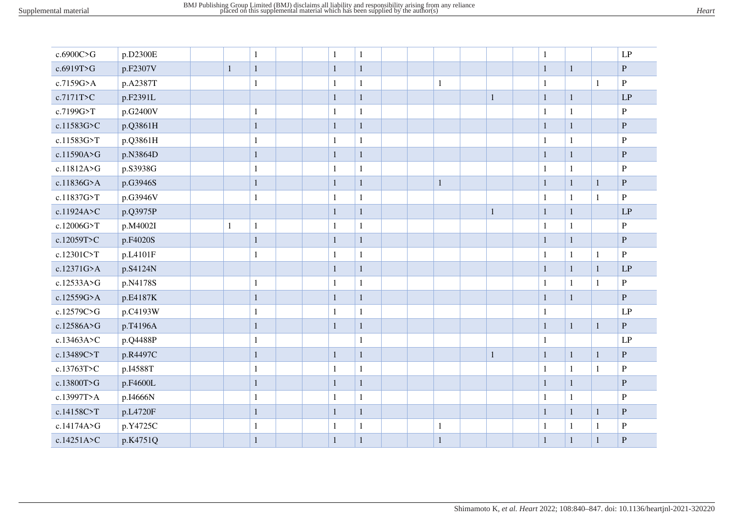| c.6900C>G  | p.D2300E |              | $\mathbf{1}$ | $\mathbf{1}$ | $\mathbf{1}$ |  |              |              | $\mathbf{1}$ |              |              | LP             |
|------------|----------|--------------|--------------|--------------|--------------|--|--------------|--------------|--------------|--------------|--------------|----------------|
| c.6919T>G  | p.F2307V | $\mathbf{1}$ | $\mathbf{1}$ | $\mathbf{1}$ | $\,1\,$      |  |              |              | $\mathbf{1}$ | $\mathbf{1}$ |              | $\mathbf P$    |
| c.7159G>A  | p.A2387T |              | $\mathbf{1}$ | $\mathbf{1}$ | $\mathbf 1$  |  | $\mathbf{1}$ |              | $\mathbf{1}$ |              | 1            | $\, {\bf P}$   |
| c.7171T>C  | p.F2391L |              |              | $\mathbf{1}$ | $\mathbf{1}$ |  |              | $\mathbf{1}$ | $\mathbf{1}$ | $\mathbf{1}$ |              | LP             |
| c.7199G>T  | p.G2400V |              | $\mathbf{1}$ | $\mathbf{1}$ | $\mathbf{1}$ |  |              |              | $\mathbf{1}$ | $\mathbf{1}$ |              | $\, {\bf P}$   |
| c.11583G>C | p.Q3861H |              | $\mathbf{1}$ | $\mathbf{1}$ | $\,1\,$      |  |              |              | $\mathbf{1}$ | $\mathbf{1}$ |              | $\, {\bf P}$   |
| c.11583G>T | p.Q3861H |              | $\mathbf{1}$ | $\mathbf{1}$ | $\mathbf 1$  |  |              |              | $\mathbf{1}$ | $\mathbf{1}$ |              | $\, {\bf P}$   |
| c.11590A>G | p.N3864D |              | $\mathbf 1$  | $1\,$        | $\,1\,$      |  |              |              | $\mathbf{1}$ | $\mathbf{1}$ |              | ${\bf P}$      |
| c.11812A>G | p.S3938G |              | $\mathbf{1}$ | $\mathbf{1}$ | $\mathbf{1}$ |  |              |              | $\mathbf{1}$ | $\mathbf{1}$ |              | $\mathbf{P}$   |
| c.11836G>A | p.G3946S |              | $\mathbf{1}$ | $\mathbf{1}$ | $\,1\,$      |  | $\mathbf{1}$ |              | $\mathbf{1}$ | $\mathbf{1}$ | $\mathbf{1}$ | ${\bf P}$      |
| c.11837G>T | p.G3946V |              | $\mathbf{1}$ | $\mathbf{1}$ | $\mathbf 1$  |  |              |              | $\mathbf{1}$ | $\mathbf{1}$ | $\mathbf{1}$ | $\mathbf{P}$   |
| c.11924A>C | p.Q3975P |              |              | $\mathbf{1}$ | $\,1\,$      |  |              | $\mathbf{1}$ | $\mathbf{1}$ | $\mathbf{1}$ |              | LP             |
| c.12006G>T | p.M4002I | $\mathbf{1}$ | $\mathbf{1}$ | $\mathbf{1}$ | $\mathbf 1$  |  |              |              | $\mathbf{1}$ | $\mathbf{1}$ |              | $\, {\bf P}$   |
| c.12059T>C | p.F4020S |              | $\mathbf 1$  | $\mathbf{1}$ | $\,1\,$      |  |              |              | $\mathbf{1}$ | $\mathbf{1}$ |              | ${\bf P}$      |
| c.12301C>T | p.L4101F |              | $\mathbf{1}$ | $\mathbf{1}$ | $\mathbf 1$  |  |              |              | $\mathbf{1}$ | $\mathbf{1}$ | $\mathbf{1}$ | $\overline{P}$ |
| c.12371G>A | p.S4124N |              |              | $1\,$        | $\,1\,$      |  |              |              | $\mathbf{1}$ | $\mathbf{1}$ | $\mathbf{1}$ | LP             |
| c.12533A>G | p.N4178S |              | $\mathbf{1}$ | 1            | $\mathbf{1}$ |  |              |              | 1            | $\mathbf{1}$ | $\mathbf{1}$ | $\, {\bf P}$   |
| c.12559G>A | p.E4187K |              | $\mathbf{1}$ | $1\,$        | $\,1\,$      |  |              |              | $\mathbf{1}$ | $\mathbf{1}$ |              | $\mathbf P$    |
| c.12579C>G | p.C4193W |              | $\mathbf{1}$ | $\mathbf{1}$ | $\mathbf{1}$ |  |              |              | 1            |              |              | LP             |
| c.12586A>G | p.T4196A |              | $\,1\,$      | $\mathbf{1}$ | $\,1\,$      |  |              |              | $\mathbf{1}$ | $\mathbf{1}$ | $\mathbf{1}$ | ${\bf P}$      |
| c.13463A>C | p.Q4488P |              | $\mathbf{1}$ |              | $\mathbf{1}$ |  |              |              | $\mathbf{1}$ |              |              | LP             |
| c.13489C>T | p.R4497C |              | $\mathbf 1$  | $\mathbf{1}$ | $\,1\,$      |  |              | $\mathbf{1}$ | $\mathbf{1}$ | $\mathbf{1}$ | $\mathbf{1}$ | ${\bf P}$      |
| c.13763T>C | p.I4588T |              | $\mathbf{1}$ | 1            | $\mathbf{1}$ |  |              |              | $\mathbf{1}$ | $\mathbf{1}$ | 1            | $\, {\bf P}$   |
| c.13800T>G | p.F4600L |              | $\mathbf{1}$ | $\mathbf{1}$ | $\,1\,$      |  |              |              | $\mathbf{1}$ | $\mathbf{1}$ |              | $\, {\bf P}$   |
| c.13997T>A | p.I4666N |              | $\mathbf{1}$ | 1            | $\,1\,$      |  |              |              | 1            | $\mathbf{1}$ |              | $\mathbf{P}$   |
| c.14158C>T | p.L4720F |              | $\mathbf{1}$ | $1\,$        | $\mathbf{1}$ |  |              |              | $\mathbf{1}$ | $\mathbf{1}$ | $\mathbf{1}$ | ${\bf P}$      |
| c.14174A>G | p.Y4725C |              | $\mathbf{1}$ | 1            | $\,1\,$      |  | $\mathbf{1}$ |              | $\mathbf{1}$ | $\mathbf{1}$ | $\mathbf{1}$ | $\, {\bf P}$   |
| c.14251A>C | p.K4751Q |              | $\mathbf 1$  | $\mathbf{1}$ | $\,1\,$      |  | $\mathbf{1}$ |              | $\mathbf{1}$ | $\mathbf{1}$ | $\mathbf{1}$ | ${\bf P}$      |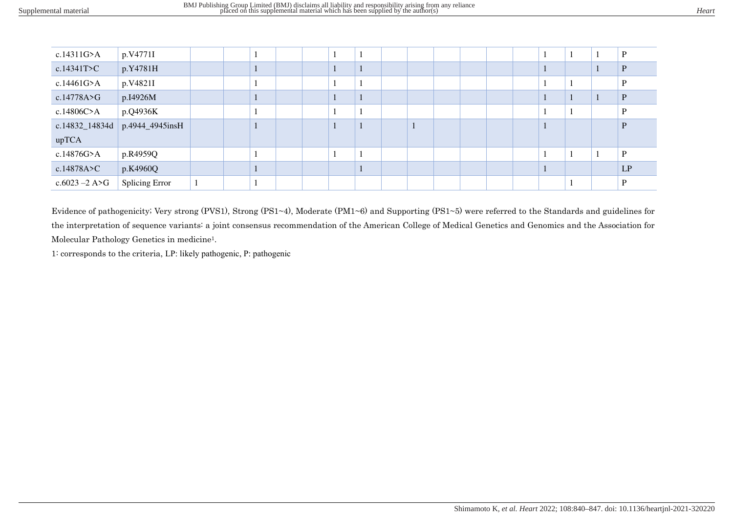| c.14311 $G>A$    | p.V4771I        |  |  |  |  |  |  |  |  | D  |
|------------------|-----------------|--|--|--|--|--|--|--|--|----|
| c.14341T > C     | p.Y4781H        |  |  |  |  |  |  |  |  |    |
| c.14461G>A       | p.V4821I        |  |  |  |  |  |  |  |  |    |
| c.14778A > G     | p.I4926M        |  |  |  |  |  |  |  |  |    |
| c.14806C>A       | p.Q4936K        |  |  |  |  |  |  |  |  | D  |
| c.14832_14834d   | p.4944_4945insH |  |  |  |  |  |  |  |  |    |
| upTCA            |                 |  |  |  |  |  |  |  |  |    |
| c.14876G>A       | p.R4959Q        |  |  |  |  |  |  |  |  | D  |
| c.14878A > C     | p.K4960Q        |  |  |  |  |  |  |  |  | LP |
| $c.6023 - 2$ A>G | Splicing Error  |  |  |  |  |  |  |  |  | D  |

Evidence of pathogenicity; Very strong (PVS1), Strong (PS1~4), Moderate (PM1~6) and Supporting (PS1~5) were referred to the Standards and guidelines for the interpretation of sequence variants: a joint consensus recommendation of the American College of Medical Genetics and Genomics and the Association for Molecular Pathology Genetics in medicine1.

1: corresponds to the criteria, LP: likely pathogenic, P: pathogenic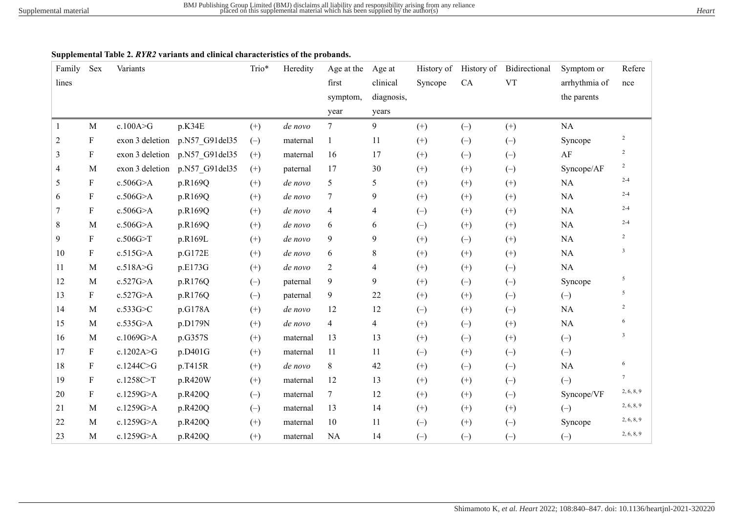#### **Supplemental Table 2.** *RYR2* **variants and clinical characteristics of the probands.**

| Family         | Sex                       | Variants        |                | Trio* | Heredity | Age at the     | Age at     | History of | History of | Bidirectional | Symptom or    | Refere                  |
|----------------|---------------------------|-----------------|----------------|-------|----------|----------------|------------|------------|------------|---------------|---------------|-------------------------|
| lines          |                           |                 |                |       |          | first          | clinical   | Syncope    | CA         | <b>VT</b>     | arrhythmia of | nce                     |
|                |                           |                 |                |       |          | symptom,       | diagnosis, |            |            |               | the parents   |                         |
|                |                           |                 |                |       |          | year           | years      |            |            |               |               |                         |
| 1              | $\mathbf{M}$              | c.100A > G      | p.K34E         | $(+)$ | de novo  | $\tau$         | 9          | $^{(+)}$   | $(-)$      | $(+)$         | NA            |                         |
| $\overline{c}$ | $\mathbf F$               | exon 3 deletion | p.N57_G91del35 | $(-)$ | maternal | 1              | 11         | $^{(+)}$   | $(-)$      | $(-)$         | Syncope       | $\sqrt{2}$              |
| 3              | $\boldsymbol{\mathrm{F}}$ | exon 3 deletion | p.N57 G91del35 | $(+)$ | maternal | 16             | 17         | $^{(+)}$   | $(-)$      | $(-)$         | $\rm AF$      | $\overline{c}$          |
| 4              | $\mathbf M$               | exon 3 deletion | p.N57 G91del35 | $(+)$ | paternal | 17             | 30         | $(+)$      | $(+)$      | $(-)$         | Syncope/AF    | $\overline{c}$          |
| 5              | $\mathbf F$               | c.506G>A        | p.R169Q        | $(+)$ | de novo  | 5              | 5          | $^{(+)}$   | $^{(+)}$   | $(+)$         | NA            | $2 - 4$                 |
| 6              | F                         | c.506G>A        | p.R169Q        | $(+)$ | de novo  | $\tau$         | 9          | $^{(+)}$   | $^{(+)}$   | $(+)$         | NA            | $2 - 4$                 |
| 7              | F                         | $c.506G$ >A     | p.R169Q        | $(+)$ | de novo  | 4              | 4          | $(-)$      | $(+)$      | $(+)$         | NA            | $2 - 4$                 |
| 8              | M                         | c.506G>A        | p.R169Q        | $(+)$ | de novo  | 6              | 6          | $(-)$      | $(+)$      | $(+)$         | NA            | $2 - 4$                 |
| 9              | F                         | c.506G > T      | p.R169L        | $(+)$ | de novo  | 9              | 9          | $(+)$      | $(-)$      | $(+)$         | $\rm NA$      | $\overline{2}$          |
| 10             | F                         | c.515G>A        | p.G172E        | $(+)$ | de novo  | 6              | 8          | $(+)$      | $(+)$      | $(+)$         | $\rm NA$      | $\mathfrak{Z}$          |
| 11             | M                         | c.518A>G        | p.E173G        | $(+)$ | de novo  | $\overline{2}$ | 4          | $^{(+)}$   | $(+)$      | $(-)$         | $\rm NA$      |                         |
| 12             | M                         | c.527G>A        | p.R176Q        | $(-)$ | paternal | 9              | 9          | $^{(+)}$   | $(-)$      | $(-)$         | Syncope       | 5                       |
| 13             | F                         | c.527G>A        | p.R176Q        | $(-)$ | paternal | 9              | 22         | $(+)$      | $(+)$      | $(-)$         | $(-)$         | 5                       |
| 14             | M                         | c.533G>C        | p.G178A        | $(+)$ | de novo  | 12             | 12         | $(-)$      | $(+)$      | $(-)$         | NA            | $\overline{2}$          |
| 15             | M                         | c.535G>A        | p.D179N        | $(+)$ | de novo  | 4              | 4          | $^{(+)}$   | $(-)$      | $(+)$         | $\rm NA$      | 6                       |
| 16             | $\mathbf{M}$              | c.1069G>A       | p.G357S        | $(+)$ | maternal | 13             | 13         | $(+)$      | $(-)$      | $(+)$         | $(-)$         | $\overline{\mathbf{3}}$ |
| 17             | F                         | c.1202A>G       | p.D401G        | $(+)$ | maternal | 11             | 11         | $(-)$      | $(+)$      | $(-)$         | $(-)$         |                         |
| 18             | F                         | c.1244C>G       | p.T415R        | $(+)$ | de novo  | 8              | 42         | $(+)$      | $(-)$      | $(-)$         | $\rm NA$      | 6                       |
| 19             | F                         | c.1258C>T       | p.R420W        | $(+)$ | maternal | 12             | 13         | $^{(+)}$   | $(+)$      | $(-)$         | $(-)$         | $7\overline{ }$         |
| 20             | $\mathbf F$               | c.1259G>A       | p.R420Q        | $(-)$ | maternal | $\tau$         | 12         | $^{(+)}$   | $^{(+)}$   | $(-)$         | Syncope/VF    | 2, 6, 8, 9              |
| 21             | $\mathbf{M}$              | c.1259G>A       | p.R420Q        | $(-)$ | maternal | 13             | 14         | $^{(+)}$   | $(+)$      | $(+)$         | $(-)$         | 2, 6, 8, 9              |
| 22             | M                         | c.1259G>A       | p.R420Q        | $(+)$ | maternal | 10             | 11         | $(-)$      | $^{(+)}$   | $(-)$         | Syncope       | 2, 6, 8, 9              |
| 23             | $\mathbf{M}$              | c.1259G>A       | p.R420Q        | $(+)$ | maternal | <b>NA</b>      | 14         | $(-)$      | $(-)$      | $(-)$         | $(-)$         | 2, 6, 8, 9              |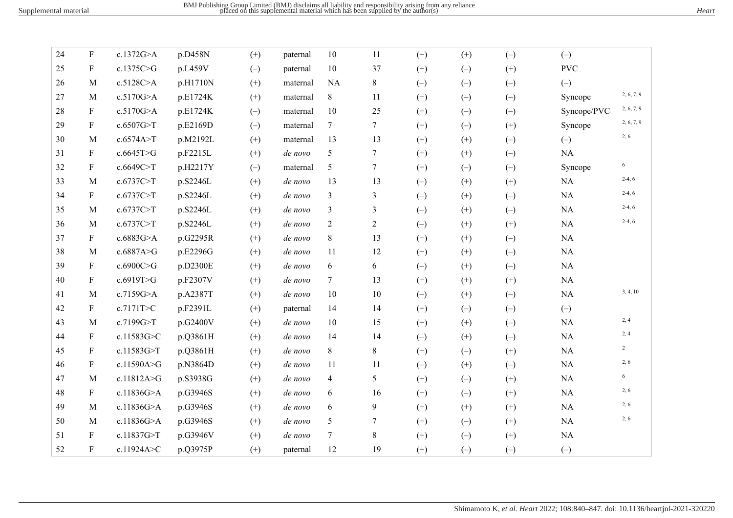| 24 | ${\bf F}$                 | c.1372G>A  | p.D458N  | $(+)$ | paternal | 10             | 11             | $(+)$    | $(+)$    | $(-)$             | $(-)$       |                |
|----|---------------------------|------------|----------|-------|----------|----------------|----------------|----------|----------|-------------------|-------------|----------------|
| 25 | $\mathbf F$               | c.1375C>G  | p.L459V  | $(-)$ | paternal | 10             | 37             | $(+)$    | $(-)$    | $(+)$             | <b>PVC</b>  |                |
| 26 | M                         | c.5128C>A  | p.H1710N | $(+)$ | maternal | <b>NA</b>      | 8              | $(-)$    | $(-)$    | $(-)$             | $(-)$       |                |
| 27 | $\mathbf{M}$              | c.5170G>A  | p.E1724K | $(+)$ | maternal | 8              | 11             | $(+)$    | $(-)$    | $(-)$             | Syncope     | 2, 6, 7, 9     |
| 28 | $\mathbf F$               | c.5170G>A  | p.E1724K | $(-)$ | maternal | 10             | 25             | $(+)$    | $(-)$    | $(-)$             | Syncope/PVC | 2, 6, 7, 9     |
| 29 | $\mathbf F$               | c.6507G>T  | p.E2169D | $(-)$ | maternal | 7              | $\tau$         | $(+)$    | $(-)$    | $(+)$             | Syncope     | 2, 6, 7, 9     |
| 30 | M                         | c.6574A>T  | p.M2192L | $(+)$ | maternal | 13             | 13             | $(+)$    | $(+)$    | $(-)$             | $(-)$       | 2, 6           |
| 31 | $\boldsymbol{\mathrm{F}}$ | c.6645T>G  | p.F2215L | $(+)$ | de novo  | 5              | 7              | $(+)$    | $^{(+)}$ | $(-)$             | NA          |                |
| 32 | $\mathbf F$               | c.6649C>T  | p.H2217Y | $(-)$ | maternal | 5              | $\tau$         | $(+)$    | $(-)$    | $(-)$             | Syncope     | 6              |
| 33 | M                         | c.6737C>T  | p.S2246L | $(+)$ | de novo  | 13             | 13             | $(-)$    | $(+)$    | $(+)$             | NA          | $2-4, 6$       |
| 34 | $\mathbf F$               | c.6737C>T  | p.S2246L | $(+)$ | de novo  | 3              | 3              | $(-)$    | $^{(+)}$ | $(-)$             | NA          | $2-4, 6$       |
| 35 | $\mathbf{M}$              | c.6737C>T  | p.S2246L | $(+)$ | de novo  | 3              | 3              | $(-)$    | $(+)$    | $(-)$             | NA          | $2-4, 6$       |
| 36 | $\mathbf{M}$              | c.6737C>T  | p.S2246L | $(+)$ | de novo  | $\overline{2}$ | $\overline{2}$ | $(-)$    | $(+)$    | $(+)$             | NA          | $2-4, 6$       |
| 37 | $\mathbf F$               | c.6883G>A  | p.G2295R | $(+)$ | de novo  | 8              | 13             | $(+)$    | $(+)$    | $\left( -\right)$ | $\rm NA$    |                |
| 38 | $\mathbf{M}$              | c.6887A>G  | p.E2296G | $(+)$ | de novo  | 11             | 12             | $(+)$    | $^{(+)}$ | $(-)$             | NA          |                |
| 39 | $\mathbf F$               | c.6900C>G  | p.D2300E | $(+)$ | de novo  | 6              | 6              | $(-)$    | $(+)$    | $(-)$             | NA          |                |
| 40 | F                         | c.6919T>G  | p.F2307V | $(+)$ | de novo  | $\tau$         | 13             | $(+)$    | $(+)$    | $(+)$             | NA          |                |
| 41 | M                         | c.7159G>A  | p.A2387T | $(+)$ | de novo  | 10             | 10             | $(-)$    | $(+)$    | $(-)$             | $\rm NA$    | 3, 4, 10       |
| 42 | F                         | c.7171T>C  | p.F2391L | $(+)$ | paternal | 14             | 14             | $(+)$    | $(-)$    | $(-)$             | $(-)$       |                |
| 43 | $\mathbf{M}$              | c.7199G>T  | p.G2400V | $(+)$ | de novo  | 10             | 15             | $(+)$    | $(+)$    | $(-)$             | NA          | 2, 4           |
| 44 | $\boldsymbol{\mathrm{F}}$ | c.11583G>C | p.Q3861H | $(+)$ | de novo  | 14             | 14             | $(-)$    | $(+)$    | $\left( -\right)$ | NA          | 2, 4           |
| 45 | F                         | c.11583G>T | p.Q3861H | $(+)$ | de novo  | 8              | $\,8\,$        | $(+)$    | $(-)$    | $(+)$             | $\rm NA$    | $\overline{2}$ |
| 46 | $\mathbf F$               | c.11590A>G | p.N3864D | $(+)$ | de novo  | 11             | 11             | $(-)$    | $(+)$    | $(-)$             | NA          | 2, 6           |
| 47 | $\mathbf{M}$              | c.11812A>G | p.S3938G | $(+)$ | de novo  | 4              | 5              | $(+)$    | $(-)$    | $^{(+)}$          | NA          | 6              |
| 48 | $\mathbf F$               | c.11836G>A | p.G3946S | $(+)$ | de novo  | 6              | 16             | $(+)$    | $(-)$    | $(+)$             | NA          | 2, 6           |
| 49 | M                         | c.11836G>A | p.G3946S | $(+)$ | de novo  | 6              | 9              | $(+)$    | $(+)$    | $^{(+)}$          | $\rm NA$    | 2, 6           |
| 50 | M                         | c.11836G>A | p.G3946S | $(+)$ | de novo  | 5              | 7              | $^{(+)}$ | $(-)$    | $(+)$             | NA          | 2, 6           |
| 51 | F                         | c.11837G>T | p.G3946V | $(+)$ | de novo  | 7              | 8              | $(+)$    | $(-)$    | $^{(+)}$          | NA          |                |
| 52 | $\mathbf{F}$              | c.11924A>C | p.Q3975P | $(+)$ | paternal | 12             | 19             | $(+)$    | $(-)$    | $(-)$             | $(-)$       |                |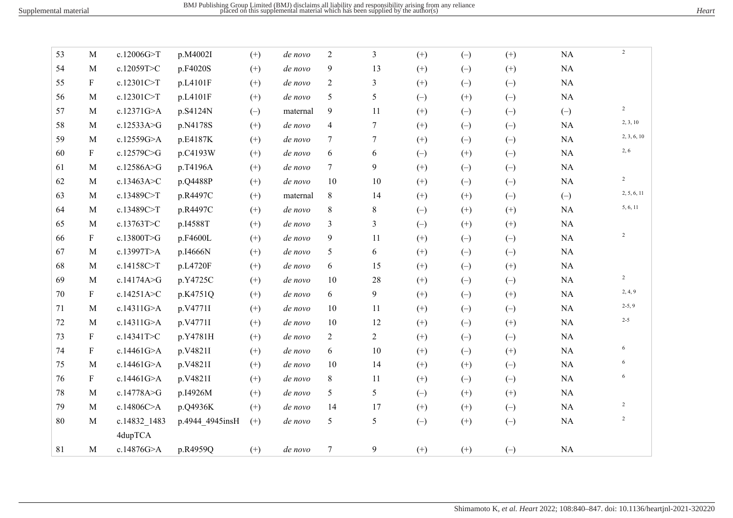| 53 | M                         | c.12006G>T   | p.M4002I        | $(+)$    | de novo  | $\overline{2}$ | $\overline{3}$ | $(+)$    | $(-)$    | $(+)$                   | NA           | $\overline{2}$ |
|----|---------------------------|--------------|-----------------|----------|----------|----------------|----------------|----------|----------|-------------------------|--------------|----------------|
| 54 | M                         | c.12059T>C   | p.F4020S        | $(+)$    | de novo  | 9              | 13             | $(+)$    | $(-)$    | $(+)$                   | $\rm NA$     |                |
| 55 | $\mathbf{F}$              | c.12301C>T   | p.L4101F        | $(+)$    | de novo  | $\overline{2}$ | $\mathfrak{Z}$ | $(+)$    | $(-)$    | $(-)$                   | $\rm NA$     |                |
| 56 | M                         | c.12301C>T   | p.L4101F        | $(+)$    | de novo  | 5              | 5              | $(-)$    | $(+)$    | $(-)$                   | $\rm NA$     |                |
| 57 | M                         | c.12371G>A   | p.S4124N        | $(-)$    | maternal | 9              | 11             | $(+)$    | $(-)$    | $(-)$                   | $(-)$        | $\overline{2}$ |
| 58 | $\mathbf{M}$              | c.12533A>G   | p.N4178S        | $(+)$    | de novo  | $\overline{4}$ | 7              | $(+)$    | $(-)$    | $\left(\text{-}\right)$ | $\rm NA$     | 2, 3, 10       |
| 59 | $\mathbf M$               | c.12559G>A   | p.E4187K        | $^{(+)}$ | de novo  | $\tau$         | 7              | $^{(+)}$ | $(-)$    | $(-)$                   | $\rm NA$     | 2, 3, 6, 10    |
| 60 | $\mathbf{F}$              | c.12579C>G   | p.C4193W        | $(+)$    | de novo  | 6              | 6              | $(-)$    | $(+)$    | $(-)$                   | $\rm NA$     | 2, 6           |
| 61 | M                         | c.12586A>G   | p.T4196A        | $(+)$    | de novo  | $\tau$         | 9              | $(+)$    | $(-)$    | $(-)$                   | NA           |                |
| 62 | M                         | c.13463A>C   | p.Q4488P        | $(+)$    | de novo  | 10             | 10             | $(+)$    | $(-)$    | $(-)$                   | $\rm NA$     | $\overline{2}$ |
| 63 | $\mathbf{M}$              | c.13489C>T   | p.R4497C        | $(+)$    | maternal | 8              | 14             | $(+)$    | $(+)$    | $\left(\text{-}\right)$ | $(\text{-})$ | 2, 5, 6, 11    |
| 64 | $\mathbf M$               | c.13489C>T   | p.R4497C        | $^{(+)}$ | de novo  | $8\,$          | 8              | $(-)$    | $^{(+)}$ | $(+)$                   | $\rm NA$     | 5, 6, 11       |
| 65 | M                         | c.13763T>C   | p.I4588T        | $(+)$    | de novo  | 3              | $\mathfrak{Z}$ | $(-)$    | $(+)$    | $(+)$                   | $\rm NA$     |                |
| 66 | $\mathbf{F}$              | c.13800T>G   | p.F4600L        | $(+)$    | de novo  | 9              | 11             | $(+)$    | $(-)$    | $(-)$                   | $\rm NA$     | $\overline{c}$ |
| 67 | M                         | c.13997T>A   | p.I4666N        | $(+)$    | de novo  | 5              | 6              | $(+)$    | $(-)$    | $(-)$                   | $\rm NA$     |                |
| 68 | M                         | c.14158C>T   | p.L4720F        | $(+)$    | de novo  | 6              | 15             | $(+)$    | $(-)$    | $(+)$                   | $\rm NA$     |                |
| 69 | $\mathbf M$               | c.14174A>G   | p.Y4725C        | $(+)$    | de novo  | 10             | $28\,$         | $(+)$    | $(-)$    | $\left(\text{-}\right)$ | $\rm NA$     | $\overline{c}$ |
| 70 | $\boldsymbol{\mathrm{F}}$ | c.14251A>C   | p.K4751Q        | $(+)$    | de novo  | 6              | 9              | $(+)$    | $(-)$    | $(+)$                   | $\rm NA$     | 2, 4, 9        |
| 71 | M                         | c.14311G>A   | p.V4771I        | $(+)$    | de novo  | 10             | 11             | $(+)$    | $(-)$    | $(-)$                   | NA           | $2-5, 9$       |
| 72 | M                         | c.14311G>A   | p.V4771I        | $(+)$    | de novo  | 10             | 12             | $(+)$    | $(-)$    | $(+)$                   | $\rm NA$     | $2 - 5$        |
| 73 | $\boldsymbol{\mathrm{F}}$ | c.14341T>C   | p.Y4781H        | $(+)$    | de novo  | $\overline{2}$ | $\overline{c}$ | $(+)$    | $(-)$    | $(-)$                   | $\rm NA$     |                |
| 74 | $\boldsymbol{\mathrm{F}}$ | c.14461G>A   | p.V4821I        | $(+)$    | de novo  | 6              | $10\,$         | $(+)$    | $(-)$    | $(+)$                   | $\rm NA$     | 6              |
| 75 | M                         | c.14461G>A   | p.V4821I        | $^{(+)}$ | de novo  | 10             | 14             | $(+)$    | $^{(+)}$ | $(-)$                   | $\rm NA$     | 6              |
| 76 | $\mathbf{F}$              | c.14461G>A   | p.V4821I        | $^{(+)}$ | de novo  | 8              | 11             | $(+)$    | $(-)$    | $(-)$                   | $\rm NA$     | 6              |
| 78 | M                         | c.14778A>G   | p.I4926M        | $(+)$    | de novo  | 5              | 5              | $(-)$    | $(+)$    | $(+)$                   | NA           |                |
| 79 | $\mathbf{M}$              | c.14806C>A   | p.Q4936K        | $(+)$    | de novo  | 14             | 17             | $(+)$    | $(+)$    | $(-)$                   | NA           | $\sqrt{2}$     |
| 80 | $\mathbf{M}$              | c.14832_1483 | p.4944_4945insH | $(+)$    | de novo  | 5              | 5              | $(-)$    | $(+)$    | $(-)$                   | NA           | $\overline{c}$ |
|    |                           | 4dupTCA      |                 |          |          |                |                |          |          |                         |              |                |
| 81 | M                         | c.14876G>A   | p.R4959Q        | $(+)$    | de novo  | $\tau$         | 9              | $(+)$    | $(+)$    | $(-)$                   | $\rm NA$     |                |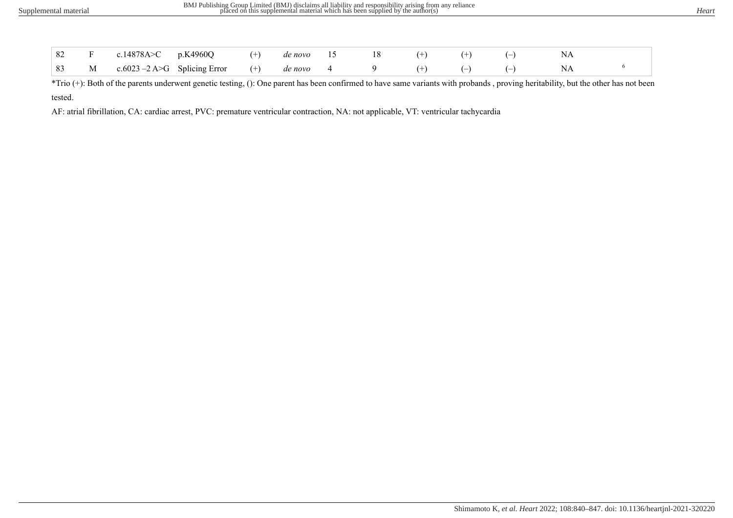|  | 82 F c.14878A>C p.K4960Q (+) denovo 15 18 (+) (+) (-)         |  |  |  |  |  |
|--|---------------------------------------------------------------|--|--|--|--|--|
|  | 83 M c.6023 -2 A>G Splicing Error (+) de novo 4 9 (+) (-) (-) |  |  |  |  |  |

\*Trio (+): Both of the parents underwent genetic testing, (): One parent has been confirmed to have same variants with probands , proving heritability, but the other has not been tested.

AF: atrial fibrillation, CA: cardiac arrest, PVC: premature ventricular contraction, NA: not applicable, VT: ventricular tachycardia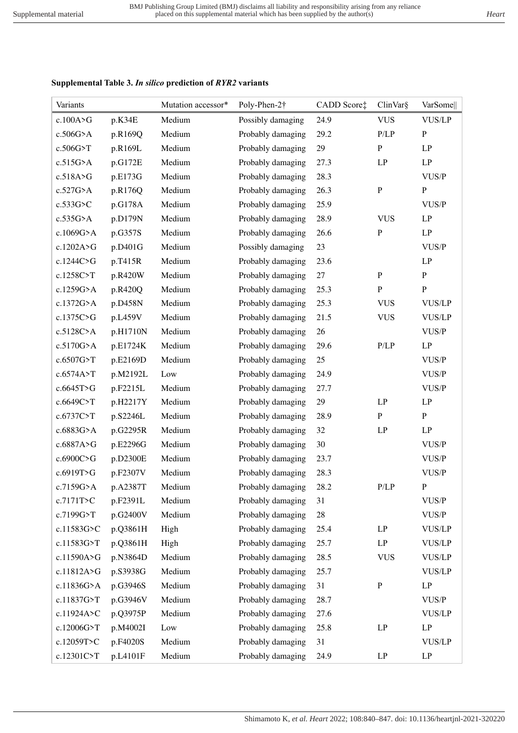## **Supplemental Table 3.** *In silico* **prediction of** *RYR2* **variants**

| Variants    |          | Mutation accessor* | Poly-Phen-2†      | CADD Score‡ | ClinVar§     | VarSome       |
|-------------|----------|--------------------|-------------------|-------------|--------------|---------------|
| c.100A > G  | p.K34E   | Medium             | Possibly damaging | 24.9        | <b>VUS</b>   | <b>VUS/LP</b> |
| $c.506G$ >A | p.R169Q  | Medium             | Probably damaging | 29.2        | P/LP         | ${\bf P}$     |
| c.506G>T    | p.R169L  | Medium             | Probably damaging | 29          | ${\bf P}$    | LP            |
| c.515G>A    | p.G172E  | Medium             | Probably damaging | 27.3        | LP           | LP            |
| c.518A>G    | p.E173G  | Medium             | Probably damaging | 28.3        |              | VUS/P         |
| c.527G>A    | p.R176Q  | Medium             | Probably damaging | 26.3        | ${\bf P}$    | ${\bf P}$     |
| $c.533G$ >C | p.G178A  | Medium             | Probably damaging | 25.9        |              | VUS/P         |
| $c.535G$ >A | p.D179N  | Medium             | Probably damaging | 28.9        | <b>VUS</b>   | LP            |
| c.1069G>A   | p.G357S  | Medium             | Probably damaging | 26.6        | $\, {\bf P}$ | LP            |
| c.1202A>G   | p.D401G  | Medium             | Possibly damaging | 23          |              | VUS/P         |
| c.1244C>G   | p.T415R  | Medium             | Probably damaging | 23.6        |              | LP            |
| c.1258C>T   | p.R420W  | Medium             | Probably damaging | $27\,$      | $\mathbf P$  | $\mathbf P$   |
| c.1259G>A   | p.R420Q  | Medium             | Probably damaging | 25.3        | ${\bf P}$    | ${\bf P}$     |
| c.1372G>A   | p.D458N  | Medium             | Probably damaging | 25.3        | <b>VUS</b>   | <b>VUS/LP</b> |
| c.1375C>G   | p.L459V  | Medium             | Probably damaging | 21.5        | <b>VUS</b>   | <b>VUS/LP</b> |
| c.5128C>A   | p.H1710N | Medium             | Probably damaging | 26          |              | VUS/P         |
| c.5170G>A   | p.E1724K | Medium             | Probably damaging | 29.6        | P/LP         | LP            |
| c.6507G>T   | p.E2169D | Medium             | Probably damaging | $25\,$      |              | VUS/P         |
| c.6574A>T   | p.M2192L | Low                | Probably damaging | 24.9        |              | VUS/P         |
| c.6645T>G   | p.F2215L | Medium             | Probably damaging | 27.7        |              | VUS/P         |
| c.6649C>T   | p.H2217Y | Medium             | Probably damaging | 29          | LP           | LP            |
| c.6737C>T   | p.S2246L | Medium             | Probably damaging | 28.9        | ${\bf P}$    | ${\bf P}$     |
| c.6883G>A   | p.G2295R | Medium             | Probably damaging | 32          | LP           | LP            |
| c.6887A>G   | p.E2296G | Medium             | Probably damaging | 30          |              | VUS/P         |
| c.6900C>G   | p.D2300E | Medium             | Probably damaging | 23.7        |              | VUS/P         |
| c.6919T>G   | p.F2307V | Medium             | Probably damaging | 28.3        |              | VUS/P         |
| c.7159G>A   | p.A2387T | Medium             | Probably damaging | 28.2        | P/LP         | $\, {\bf p}$  |
| c.7171T>C   | p.F2391L | Medium             | Probably damaging | 31          |              | VUS/P         |
| c.7199G>T   | p.G2400V | Medium             | Probably damaging | $28\,$      |              | VUS/P         |
| c.11583G>C  | p.Q3861H | High               | Probably damaging | 25.4        | LP           | <b>VUS/LP</b> |
| c.11583G>T  | p.Q3861H | High               | Probably damaging | 25.7        | LP           | <b>VUS/LP</b> |
| c.11590A>G  | p.N3864D | Medium             | Probably damaging | 28.5        | <b>VUS</b>   | <b>VUS/LP</b> |
| c.11812A>G  | p.S3938G | Medium             | Probably damaging | 25.7        |              | <b>VUS/LP</b> |
| c.11836G>A  | p.G3946S | Medium             | Probably damaging | 31          | ${\bf P}$    | LP            |
| c.11837G>T  | p.G3946V | Medium             | Probably damaging | 28.7        |              | VUS/P         |
| c.11924A>C  | p.Q3975P | Medium             | Probably damaging | 27.6        |              | <b>VUS/LP</b> |
| c.12006G>T  | p.M4002I | Low                | Probably damaging | 25.8        | LP           | LP            |
| c.12059T>C  | p.F4020S | Medium             | Probably damaging | 31          |              | <b>VUS/LP</b> |
| c.12301C>T  | p.L4101F | Medium             | Probably damaging | 24.9        | LP           | LP            |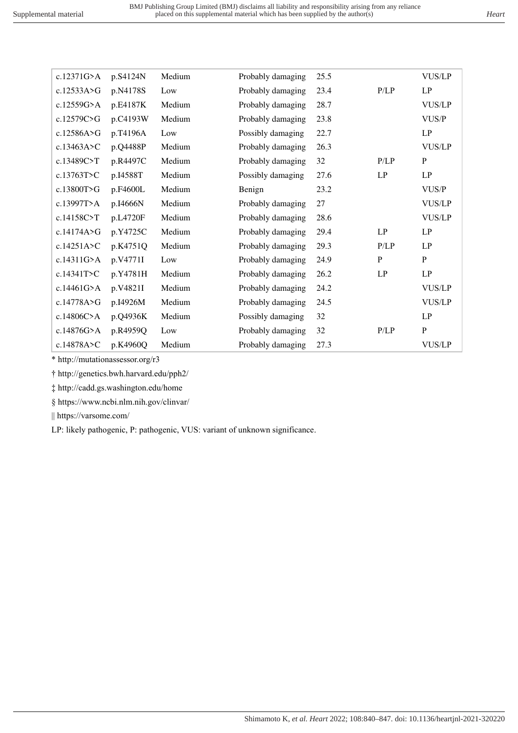| c.12371G>A   | p.S4124N | Medium | Probably damaging | 25.5 |              | <b>VUS/LP</b> |
|--------------|----------|--------|-------------------|------|--------------|---------------|
| c.12533A>G   | p.N4178S | Low    | Probably damaging | 23.4 | P/LP         | LP            |
| c.12559G>A   | p.E4187K | Medium | Probably damaging | 28.7 |              | <b>VUS/LP</b> |
| c.12579C>G   | p.C4193W | Medium | Probably damaging | 23.8 |              | VUS/P         |
| c.12586A>G   | p.T4196A | Low    | Possibly damaging | 22.7 |              | LP            |
| c.13463A>C   | p.Q4488P | Medium | Probably damaging | 26.3 |              | <b>VUS/LP</b> |
| c.13489C>T   | p.R4497C | Medium | Probably damaging | 32   | P/LP         | $\mathbf{P}$  |
| c.13763T>C   | p.I4588T | Medium | Possibly damaging | 27.6 | LP           | LP            |
| c.13800T>G   | p.F4600L | Medium | Benign            | 23.2 |              | VUS/P         |
| c.13997T>A   | p.I4666N | Medium | Probably damaging | 27   |              | <b>VUS/LP</b> |
| c.14158C>T   | p.L4720F | Medium | Probably damaging | 28.6 |              | <b>VUS/LP</b> |
| c.14174A>G   | p.Y4725C | Medium | Probably damaging | 29.4 | LP           | LP            |
| c.14251A > C | p.K4751Q | Medium | Probably damaging | 29.3 | P/LP         | LP            |
| c.14311G>A   | p.V4771I | Low    | Probably damaging | 24.9 | $\mathbf{P}$ | $\, {\bf P}$  |
| c.14341T>C   | p.Y4781H | Medium | Probably damaging | 26.2 | LP           | LP            |
| c.14461G>A   | p.V4821I | Medium | Probably damaging | 24.2 |              | <b>VUS/LP</b> |
| c.14778A>G   | p.I4926M | Medium | Probably damaging | 24.5 |              | <b>VUS/LP</b> |
| c.14806C>A   | p.Q4936K | Medium | Possibly damaging | 32   |              | LP            |
| c.14876G>A   | p.R4959Q | Low    | Probably damaging | 32   | P/LP         | $\mathbf{P}$  |
| c.14878A>C   | p.K4960Q | Medium | Probably damaging | 27.3 |              | <b>VUS/LP</b> |

\* http://mutationassessor.org/r3

† http://genetics.bwh.harvard.edu/pph2/

‡ http://cadd.gs.washington.edu/home

§ https://www.ncbi.nlm.nih.gov/clinvar/

|| https://varsome.com/

LP: likely pathogenic, P: pathogenic, VUS: variant of unknown significance.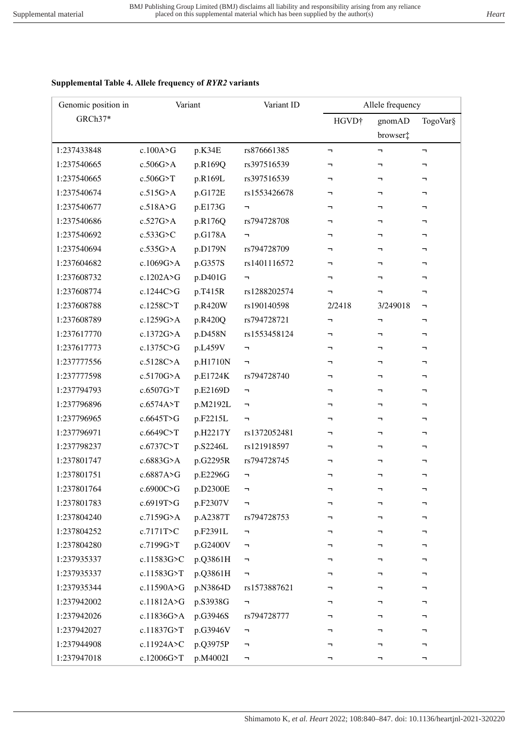### **Supplemental Table 4. Allele frequency of** *RYR2* **variants**

| Genomic position in | Variant      |          | Variant ID                                    |                               | Allele frequency |          |
|---------------------|--------------|----------|-----------------------------------------------|-------------------------------|------------------|----------|
| GRCh37*             |              |          |                                               | HGVD <sup>+</sup>             | gnomAD           | TogoVar§ |
|                     |              |          |                                               |                               | browser:         |          |
| 1:237433848         | c.100A>G     | p.K34E   | rs876661385                                   | $\blacksquare$                | F                | π,       |
| 1:237540665         | $c.506G$ >A  | p.R169Q  | rs397516539                                   | ┑                             | F                | ÷.       |
| 1:237540665         | c.506G>T     | p.R169L  | rs397516539                                   | ┑                             | ┑                | ┑        |
| 1:237540674         | c.515G>A     | p.G172E  | rs1553426678                                  | ┑                             | F                | F        |
| 1:237540677         | c.518A > G   | p.E173G  | F                                             | ┑                             | ÷,               | ┑        |
| 1:237540686         | c.527G>A     | p.R176Q  | rs794728708                                   | ┑                             | ┑                | ┑        |
| 1:237540692         | c.533G>C     | p.G178A  | F                                             | ┑                             | h                | ┑        |
| 1:237540694         | $c.535G$ >A  | p.D179N  | rs794728709                                   | ┑                             | h                | ┑        |
| 1:237604682         | c.1069G>A    | p.G357S  | rs1401116572                                  | ┑                             | ┑                | F        |
| 1:237608732         | c.1202A>G    | p.D401G  | F                                             | ┑                             | F                | ┑        |
| 1:237608774         | c.1244C>G    | p.T415R  | rs1288202574                                  | ┑                             | h                | ┑        |
| 1:237608788         | c.1258C>T    | p.R420W  | rs190140598                                   | 2/2418                        | 3/249018         | F        |
| 1:237608789         | c.1259G>A    | p.R420Q  | rs794728721                                   | $\mathbin{\rightharpoondown}$ | F                | ┑        |
| 1:237617770         | c.1372G>A    | p.D458N  | rs1553458124                                  | ┑                             | ┑                | F        |
| 1:237617773         | c.1375C>G    | p.L459V  | F                                             | ┑                             | ┑                | ┑        |
| 1:237777556         | c.5128C>A    | p.H1710N | $\overline{\phantom{0}}$                      | ┑                             | ┑                | ┑        |
| 1:237777598         | c.5170G>A    | p.E1724K | rs794728740                                   |                               | ÷,               | -        |
| 1:237794793         | c.6507G>T    | p.E2169D | $\blacksquare$                                | ┑                             | ┑                | ┑        |
| 1:237796896         | c.6574A>T    | p.M2192L | $\overline{\phantom{a}}$                      | ┑                             | F                | ┑        |
| 1:237796965         | c.6645T>G    | p.F2215L | $\blacksquare$                                | ┑                             | ÷,               | ┑        |
| 1:237796971         | c.6649C>T    | p.H2217Y | rs1372052481                                  | ┑                             | ┑                | ┑        |
| 1:237798237         | c.6737C>T    | p.S2246L | rs121918597                                   | ┑                             | ┑                | ┑        |
| 1:237801747         | c.6883G>A    | p.G2295R | rs794728745                                   | ┑                             | ┑                | ┑        |
| 1:237801751         | c.6887A>G    | p.E2296G | $\overline{\phantom{a}}$                      | ┑                             | ┑                | ┑        |
| 1:237801764         | c.6900C>G    | p.D2300E |                                               |                               |                  |          |
| 1:237801783         | c.6919T>G    | p.F2307V | F                                             | ┑                             | ┑                | ┑        |
| 1:237804240         | $c.7159G$ >A | p.A2387T | rs794728753                                   | ┑                             | ┑                | ┑        |
| 1:237804252         | c.7171T>C    | p.F2391L | F                                             |                               |                  | ┑        |
| 1:237804280         | c.7199G>T    | p.G2400V | F                                             | ┑                             | ┑                | ┑        |
| 1:237935337         | c.11583G>C   | p.Q3861H | F                                             |                               | ┑                | ┑        |
| 1:237935337         | c.11583G>T   | p.Q3861H | F                                             | ┑                             | ┑                | ┑        |
| 1:237935344         | c.11590A>G   | p.N3864D | rs1573887621                                  | ┑                             | ┑                | ┑        |
| 1:237942002         | c.11812A>G   | p.S3938G | F                                             |                               |                  | ┑        |
| 1:237942026         | c.11836G>A   | p.G3946S | rs794728777                                   | ┑                             | ┑                | ┑        |
| 1:237942027         | c.11837G>T   | p.G3946V | $\mathord{\hspace{1pt}\text{--}\hspace{1pt}}$ | ┑                             | ┑                | ┑        |
| 1:237944908         | c.11924A>C   | p.Q3975P | F                                             |                               | ┑                | ┑        |
| 1:237947018         | c.12006G>T   | p.M4002I | $\overline{\phantom{a}}$                      | ┑                             | F                | ┑        |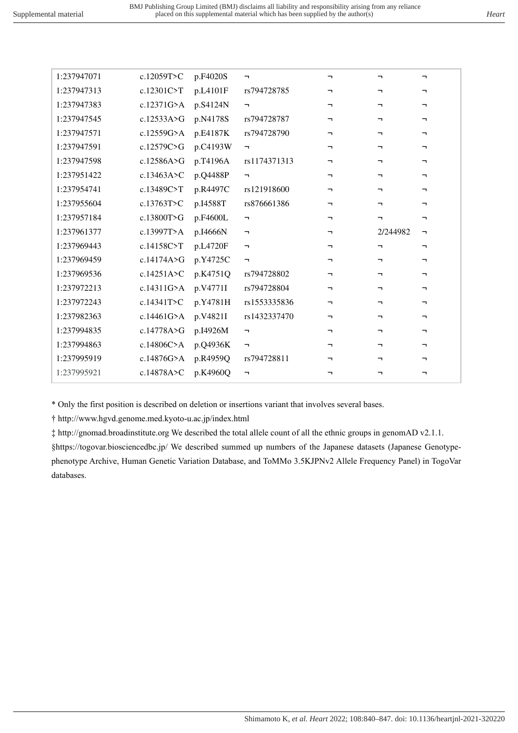| 1:237947071 | c.12059T>C | p.F4020S | F.                       | ┑.       | ┑.       | F                     |
|-------------|------------|----------|--------------------------|----------|----------|-----------------------|
| 1:237947313 | c.12301C>T | p.L4101F | rs794728785              | ┑.       | ┑        | F                     |
| 1:237947383 | c.12371G>A | p.S4124N | $\overline{\phantom{a}}$ | ┑.       | ┑.       | ┑                     |
| 1:237947545 | c.12533A>G | p.N4178S | rs794728787              | ┑.       | ┑.       | ┑                     |
| 1:237947571 | c.12559G>A | p.E4187K | rs794728790              | ┑.       | ┑.       | -                     |
| 1:237947591 | c.12579C>G | p.C4193W | $\blacksquare$           | ┑.       | ┑.       | ┑                     |
| 1:237947598 | c.12586A>G | p.T4196A | rs1174371313             | ┑.       | ┑.       | ┑.                    |
| 1:237951422 | c.13463A>C | p.Q4488P | $\overline{\phantom{0}}$ | ┑.       | ┑.       | -                     |
| 1:237954741 | c.13489C>T | p.R4497C | rs121918600              | ┑.       | ┑.       | ┑                     |
| 1:237955604 | c.13763T>C | p.I4588T | rs876661386              | T.       | ┑.       | ┑                     |
| 1:237957184 | c.13800T>G | p.F4600L | F.                       | <b>-</b> | ┑.       | -                     |
| 1:237961377 | c.13997T>A | p.I4666N | $\blacksquare$           | ┑.       | 2/244982 | $\mathbf{\mathsf{u}}$ |
| 1:237969443 | c.14158C>T | p.L4720F | $\blacksquare$           | ┑        | T.       | -                     |
| 1:237969459 | c.14174A>G | p.Y4725C | F                        | <b>-</b> | ┑.       | ┑                     |
| 1:237969536 |            |          |                          |          |          |                       |
|             | c.14251A>C | p.K4751Q | rs794728802              | ┑.       | ┑.       | ┑.                    |
| 1:237972213 | c.14311G>A | p.V4771I | rs794728804              | T.       | ┑.       | -                     |
| 1:237972243 | c.14341T>C | p.Y4781H | rs1553335836             | ÷,       | ┑.       | ┑                     |
| 1:237982363 | c.14461G>A | p.V4821I | rs1432337470             | T.       | ┑.       | ┑                     |
| 1:237994835 | c.14778A>G | p.I4926M | $\overline{\phantom{0}}$ | <b>-</b> | ┑.       | ┑                     |
| 1:237994863 | c.14806C>A | p.Q4936K | $\blacksquare$           | ┑.       | ┑.       | ┑                     |
| 1:237995919 | c.14876G>A | p.R4959Q | rs794728811              | ┑.       | ┑.       | ┑                     |
| 1:237995921 | c.14878A>C | p.K4960Q | $\overline{\phantom{a}}$ | ┑        | ┑        | ┑                     |

\* Only the first position is described on deletion or insertions variant that involves several bases.

† http://www.hgvd.genome.med.kyoto-u.ac.jp/index.html

‡ http://gnomad.broadinstitute.org We described the total allele count of all the ethnic groups in genomAD v2.1.1.

§https://togovar.biosciencedbc.jp/ We described summed up numbers of the Japanese datasets (Japanese Genotypephenotype Archive, Human Genetic Variation Database, and ToMMo 3.5KJPNv2 Allele Frequency Panel) in TogoVar databases.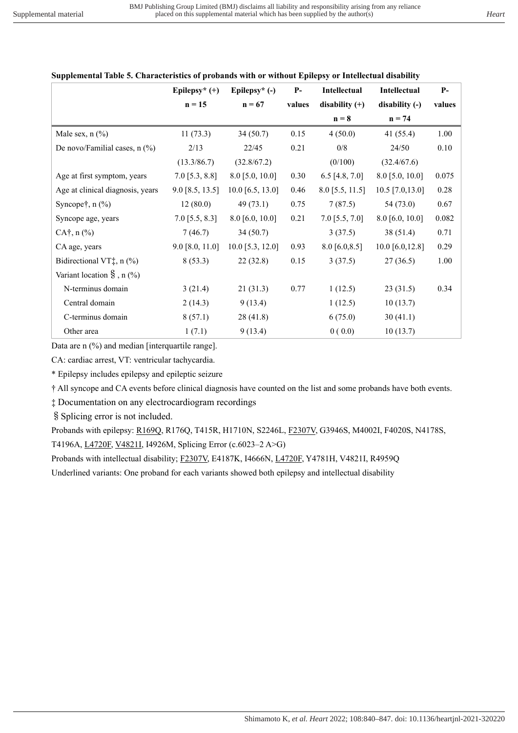|                                     | Epilepsy* $(+)$   | Epilepsy* (-)      | $P-$   | <b>Intellectual</b> | <b>Intellectual</b> | $P-$     |
|-------------------------------------|-------------------|--------------------|--------|---------------------|---------------------|----------|
|                                     | $n = 15$          | $n = 67$           | values | disability $(+)$    | disability (-)      | values   |
|                                     |                   |                    |        | $n = 8$             | $n = 74$            |          |
| Male sex, $n$ $(\%)$                | 11(73.3)          | 34(50.7)           | 0.15   | 4(50.0)             | 41 $(55.4)$         | 1.00     |
| De novo/Familial cases, $n$ (%)     | 2/13              | 22/45              | 0.21   | 0/8                 | 24/50               | 0.10     |
|                                     | (13.3/86.7)       | (32.8/67.2)        |        | (0/100)             | (32.4/67.6)         |          |
| Age at first symptom, years         | $7.0$ [5.3, 8.8]  | $8.0$ [5.0, 10.0]  | 0.30   | 6.5 [4.8, 7.0]      | $8.0$ [5.0, 10.0]   | 0.075    |
| Age at clinical diagnosis, years    | $9.0$ [8.5, 13.5] | $10.0$ [6.5, 13.0] | 0.46   | $8.0$ [5.5, 11.5]   | $10.5$ [7.0,13.0]   | $0.28\,$ |
| Syncope $\dagger$ , n $(\%)$        | 12(80.0)          | 49(73.1)           | 0.75   | 7(87.5)             | 54 (73.0)           | 0.67     |
| Syncope age, years                  | $7.0$ [5.5, 8.3]  | $8.0$ [6.0, 10.0]  | 0.21   | $7.0$ [5.5, $7.0$ ] | $8.0$ [6.0, 10.0]   | 0.082    |
| $CA^{\dagger}$ , n $(\%$ )          | 7(46.7)           | 34(50.7)           |        | 3(37.5)             | 38 (51.4)           | 0.71     |
| CA age, years                       | $9.0$ [8.0, 11.0] | $10.0$ [5.3, 12.0] | 0.93   | $8.0$ [6.0,8.5]     | 10.0 $[6.0, 12.8]$  | 0.29     |
| Bidirectional VT $\ddagger$ , n (%) | 8(53.3)           | 22(32.8)           | 0.15   | 3(37.5)             | 27(36.5)            | 1.00     |
| Variant location $\S$ , n $(\%)$    |                   |                    |        |                     |                     |          |
| N-terminus domain                   | 3(21.4)           | 21(31.3)           | 0.77   | 1(12.5)             | 23(31.5)            | 0.34     |
| Central domain                      | 2(14.3)           | 9(13.4)            |        | 1(12.5)             | 10(13.7)            |          |
| C-terminus domain                   | 8(57.1)           | 28(41.8)           |        | 6(75.0)             | 30(41.1)            |          |
| Other area                          | 1(7.1)            | 9(13.4)            |        | 0(0.0)              | 10(13.7)            |          |

### **Supplemental Table 5. Characteristics of probands with or without Epilepsy or Intellectual disability**

Data are n (%) and median [interquartile range].

CA: cardiac arrest, VT: ventricular tachycardia.

\* Epilepsy includes epilepsy and epileptic seizure

† All syncope and CA events before clinical diagnosis have counted on the list and some probands have both events.

‡ Documentation on any electrocardiogram recordings

§Splicing error is not included.

Probands with epilepsy: R169Q, R176Q, T415R, H1710N, S2246L, F2307V, G3946S, M4002I, F4020S, N4178S, T4196A, L4720F, V4821I, I4926M, Splicing Error (c.6023–2 A>G)

Probands with intellectual disability; F2307V, E4187K, I4666N, L4720F, Y4781H, V4821I, R4959Q

Underlined variants: One proband for each variants showed both epilepsy and intellectual disability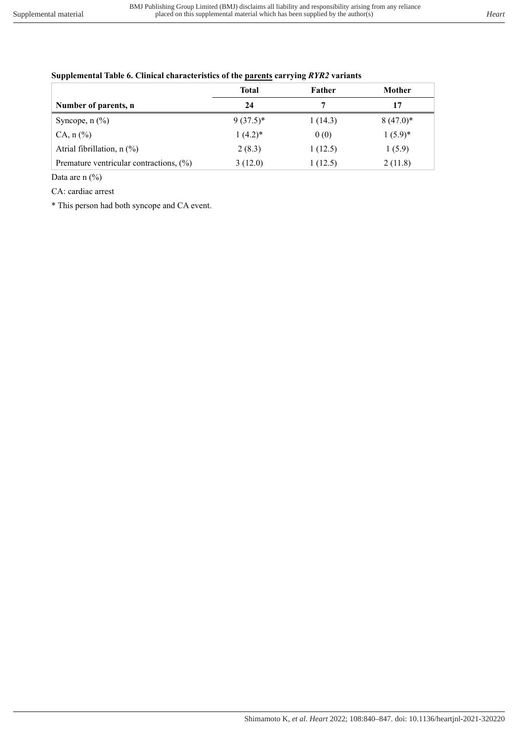|                                         | <b>Total</b> | Father  | Mother      |
|-----------------------------------------|--------------|---------|-------------|
| Number of parents, n                    | 24           |         | 17          |
| Syncope, $n$ $(\%)$                     | $9(37.5)^*$  | 1(14.3) | $8(47.0)^*$ |
| $CA, n (\%)$                            | $1(4.2)^*$   | 0(0)    | $1(5.9)^*$  |
| Atrial fibrillation, $n$ (%)            | 2(8.3)       | 1(12.5) | 1(5.9)      |
| Premature ventricular contractions, (%) | 3(12.0)      | 1(12.5) | 2(11.8)     |

#### **Supplemental Table 6. Clinical characteristics of the parents carrying** *RYR2* **variants**

Data are n  $(\%$ 

CA: cardiac arrest

\* This person had both syncope and CA event.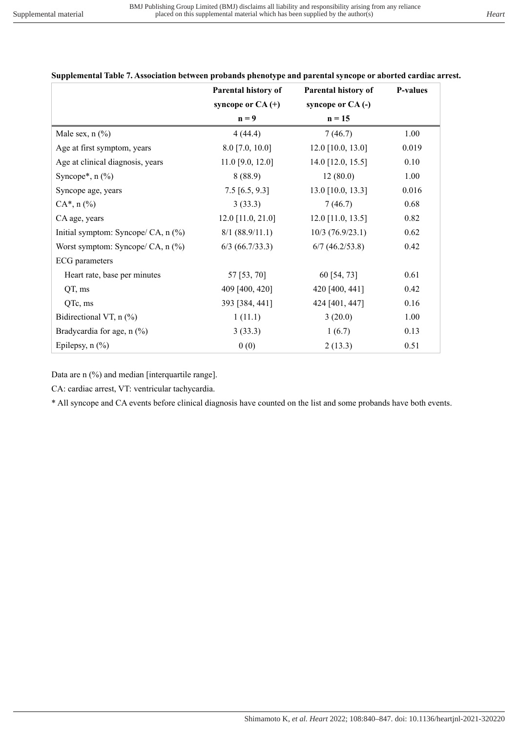|                                     | Parental history of | Parental history of | <b>P-values</b> |
|-------------------------------------|---------------------|---------------------|-----------------|
|                                     | syncope or $CA$ (+) | syncope or CA(-)    |                 |
|                                     | $n = 9$             | $n = 15$            |                 |
| Male sex, $n$ $(\%)$                | 4(44.4)             | 7(46.7)             | 1.00            |
| Age at first symptom, years         | $8.0$ [7.0, 10.0]   | $12.0$ [10.0, 13.0] | 0.019           |
| Age at clinical diagnosis, years    | $11.0$ [9.0, 12.0]  | 14.0 [12.0, 15.5]   | 0.10            |
| Syncope*, $n$ $(\%)$                | 8(88.9)             | 12(80.0)            | 1.00            |
| Syncope age, years                  | $7.5$ [6.5, 9.3]    | $13.0$ [10.0, 13.3] | 0.016           |
| $CA^*$ , n $(\%)$                   | 3(33.3)             | 7(46.7)             | 0.68            |
| CA age, years                       | $12.0$ [11.0, 21.0] | $12.0$ [11.0, 13.5] | 0.82            |
| Initial symptom: Syncope/ CA, n (%) | 8/1 (88.9/11.1)     | $10/3$ (76.9/23.1)  | 0.62            |
| Worst symptom: Syncope/ CA, $n$ (%) | $6/3$ (66.7/33.3)   | $6/7$ (46.2/53.8)   | 0.42            |
| <b>ECG</b> parameters               |                     |                     |                 |
| Heart rate, base per minutes        | 57 [53, 70]         | 60 [54, 73]         | 0.61            |
| QT, ms                              | 409 [400, 420]      | 420 [400, 441]      | 0.42            |
| QTc, ms                             | 393 [384, 441]      | 424 [401, 447]      | 0.16            |
| Bidirectional VT, $n$ (%)           | 1(11.1)             | 3(20.0)             | 1.00            |
| Bradycardia for age, n (%)          | 3(33.3)             | 1(6.7)              | 0.13            |
| Epilepsy, $n$ $(\%)$                | 0(0)                | 2(13.3)             | 0.51            |

**Supplemental Table 7. Association between probands phenotype and parental syncope or aborted cardiac arrest.**

Data are n (%) and median [interquartile range].

CA: cardiac arrest, VT: ventricular tachycardia.

\* All syncope and CA events before clinical diagnosis have counted on the list and some probands have both events.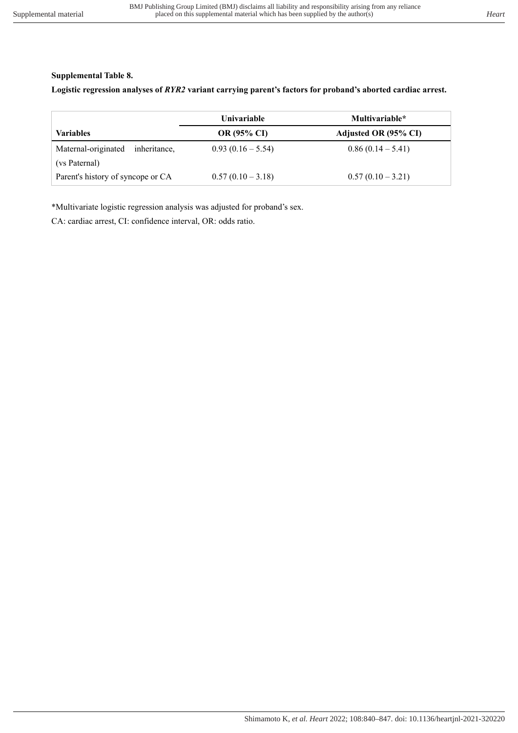# **Supplemental Table 8.**

**Logistic regression analyses of** *RYR2* **variant carrying parent's factors for proband's aborted cardiac arrest.** 

|                                     | <b>Univariable</b> | Multivariable*       |
|-------------------------------------|--------------------|----------------------|
| <b>Variables</b>                    | <b>OR (95% CI)</b> | Adjusted OR (95% CI) |
| Maternal-originated<br>inheritance, | $0.93(0.16-5.54)$  | $0.86(0.14-5.41)$    |
| (vs Paternal)                       |                    |                      |
| Parent's history of syncope or CA   | $0.57(0.10-3.18)$  | $0.57(0.10-3.21)$    |

\*Multivariate logistic regression analysis was adjusted for proband's sex.

CA: cardiac arrest, CI: confidence interval, OR: odds ratio.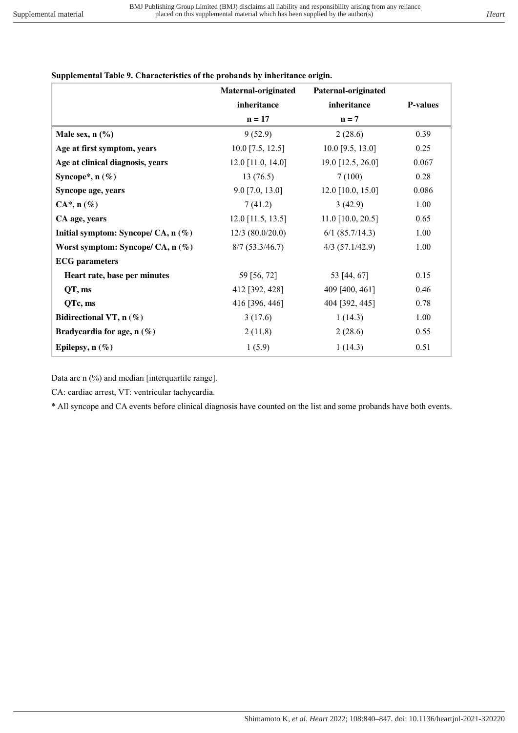# **Supplemental Table 9. Characteristics of the probands by inheritance origin.**

|                                       | Maternal-originated | Paternal-originated |                 |
|---------------------------------------|---------------------|---------------------|-----------------|
|                                       | inheritance         | inheritance         | <b>P-values</b> |
|                                       | $n = 17$            | $n = 7$             |                 |
| Male sex, $n$ $(\%)$                  | 9(52.9)             | 2(28.6)             | 0.39            |
| Age at first symptom, years           | $10.0$ [7.5, 12.5]  | $10.0$ [9.5, 13.0]  | 0.25            |
| Age at clinical diagnosis, years      | $12.0$ [11.0, 14.0] | 19.0 [12.5, 26.0]   | 0.067           |
| Syncope*, $n$ (%)                     | 13(76.5)            | 7(100)              | 0.28            |
| Syncope age, years                    | $9.0$ [7.0, 13.0]   | $12.0$ [10.0, 15.0] | 0.086           |
| $CA^*$ , n $(\%)$                     | 7(41.2)             | 3(42.9)             | 1.00            |
| CA age, years                         | $12.0$ [11.5, 13.5] | $11.0$ [10.0, 20.5] | 0.65            |
| Initial symptom: Syncope/ CA, $n$ (%) | $12/3$ (80.0/20.0)  | $6/1$ (85.7/14.3)   | 1.00            |
| Worst symptom: Syncope/ CA, $n$ (%)   | 8/7(53.3/46.7)      | $4/3$ (57.1/42.9)   | 1.00            |
| <b>ECG</b> parameters                 |                     |                     |                 |
| Heart rate, base per minutes          | 59 [56, 72]         | 53 [44, 67]         | 0.15            |
| QT, ms                                | 412 [392, 428]      | 409 [400, 461]      | 0.46            |
| QTc, ms                               | 416 [396, 446]      | 404 [392, 445]      | 0.78            |
| Bidirectional VT, $n$ (%)             | 3(17.6)             | 1(14.3)             | 1.00            |
| Bradycardia for age, n (%)            | 2(11.8)             | 2(28.6)             | 0.55            |
| Epilepsy, $n(\%)$                     | 1(5.9)              | 1(14.3)             | 0.51            |

Data are n (%) and median [interquartile range].

CA: cardiac arrest, VT: ventricular tachycardia.

\* All syncope and CA events before clinical diagnosis have counted on the list and some probands have both events.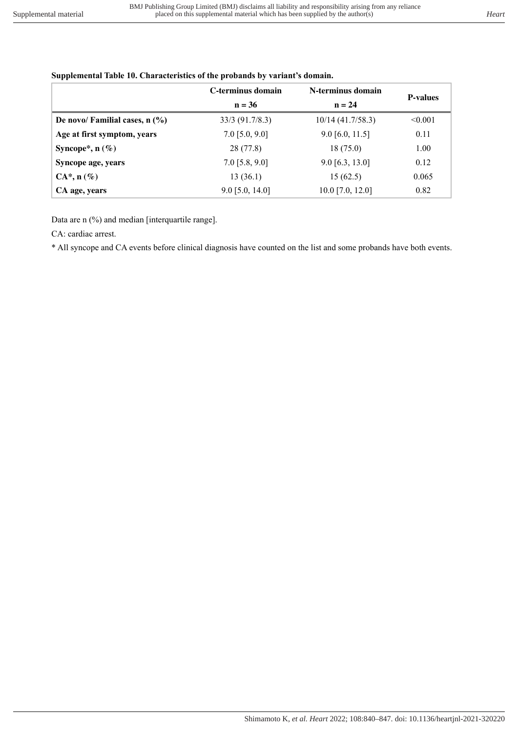|                                  | C-terminus domain | N-terminus domain   |                 |
|----------------------------------|-------------------|---------------------|-----------------|
|                                  | $n = 36$          | $n = 24$            | <b>P-values</b> |
| De novo/ Familial cases, $n$ (%) | $33/3$ (91.7/8.3) | $10/14$ (41.7/58.3) | < 0.001         |
| Age at first symptom, years      | $7.0$ [5.0, 9.0]  | $9.0$ [6.0, 11.5]   | 0.11            |
| Syncope*, $n$ (%)                | 28 (77.8)         | 18(75.0)            | 1.00            |
| Syncope age, years               | $7.0$ [5.8, 9.0]  | $9.0$ [6.3, 13.0]   | 0.12            |
| $CA^*, n(\%)$                    | 13(36.1)          | 15(62.5)            | 0.065           |
| CA age, years                    | $9.0$ [5.0, 14.0] | $10.0$ [7.0, 12.0]  | 0.82            |

#### **Supplemental Table 10. Characteristics of the probands by variant's domain.**

Data are n (%) and median [interquartile range].

CA: cardiac arrest.

\* All syncope and CA events before clinical diagnosis have counted on the list and some probands have both events.